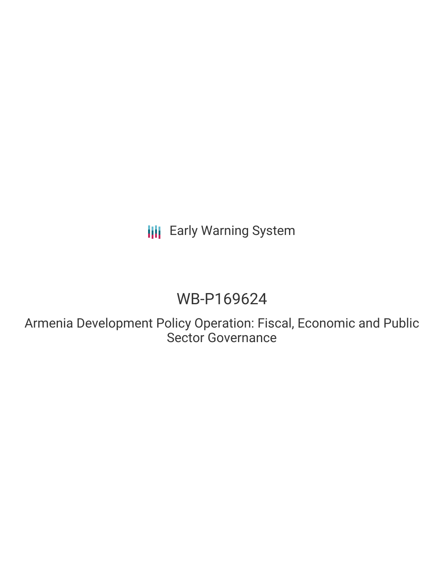# **III** Early Warning System

# WB-P169624

Armenia Development Policy Operation: Fiscal, Economic and Public Sector Governance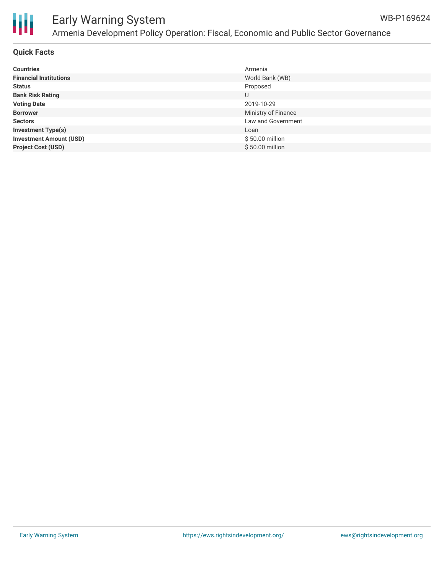

# Ш

## Early Warning System Armenia Development Policy Operation: Fiscal, Economic and Public Sector Governance

#### **Quick Facts**

| <b>Countries</b>               | Armenia             |
|--------------------------------|---------------------|
| <b>Financial Institutions</b>  | World Bank (WB)     |
| <b>Status</b>                  | Proposed            |
| <b>Bank Risk Rating</b>        | U                   |
| <b>Voting Date</b>             | 2019-10-29          |
| <b>Borrower</b>                | Ministry of Finance |
| <b>Sectors</b>                 | Law and Government  |
| <b>Investment Type(s)</b>      | Loan                |
| <b>Investment Amount (USD)</b> | \$50.00 million     |
| <b>Project Cost (USD)</b>      | \$50.00 million     |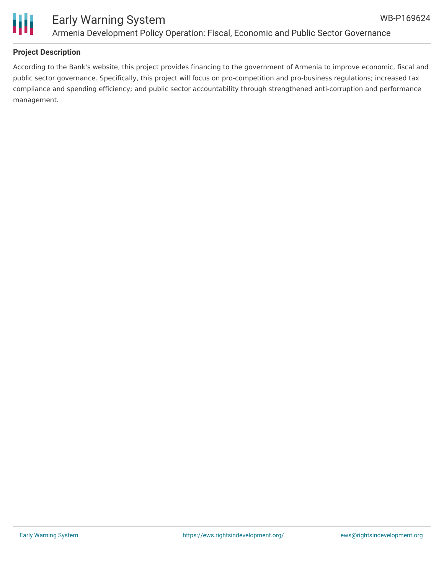



#### **Project Description**

According to the Bank's website, this project provides financing to the government of Armenia to improve economic, fiscal and public sector governance. Specifically, this project will focus on pro-competition and pro-business regulations; increased tax compliance and spending efficiency; and public sector accountability through strengthened anti-corruption and performance management.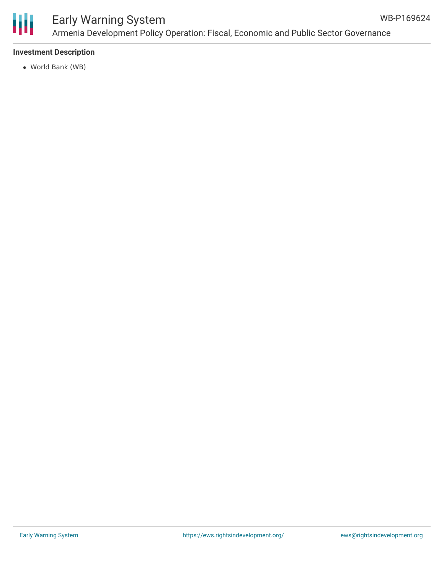

### Early Warning System Armenia Development Policy Operation: Fiscal, Economic and Public Sector Governance

#### **Investment Description**

World Bank (WB)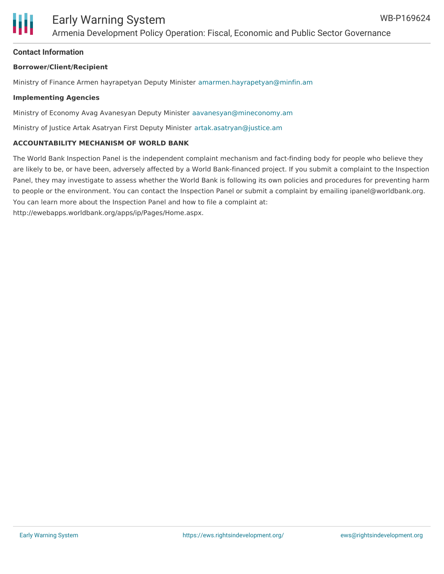

#### **Contact Information**

#### **Borrower/Client/Recipient**

Ministry of Finance Armen hayrapetyan Deputy Minister [amarmen.hayrapetyan@minfin.am](mailto:amarmen.hayrapetyan@minfin.am)

#### **Implementing Agencies**

Ministry of Economy Avag Avanesyan Deputy Minister [aavanesyan@mineconomy.am](mailto:aavanesyan@mineconomy.am)

Ministry of Justice Artak Asatryan First Deputy Minister [artak.asatryan@justice.am](mailto:artak.asatryan@justice.am)

#### **ACCOUNTABILITY MECHANISM OF WORLD BANK**

The World Bank Inspection Panel is the independent complaint mechanism and fact-finding body for people who believe they are likely to be, or have been, adversely affected by a World Bank-financed project. If you submit a complaint to the Inspection Panel, they may investigate to assess whether the World Bank is following its own policies and procedures for preventing harm to people or the environment. You can contact the Inspection Panel or submit a complaint by emailing ipanel@worldbank.org. You can learn more about the Inspection Panel and how to file a complaint at: http://ewebapps.worldbank.org/apps/ip/Pages/Home.aspx.